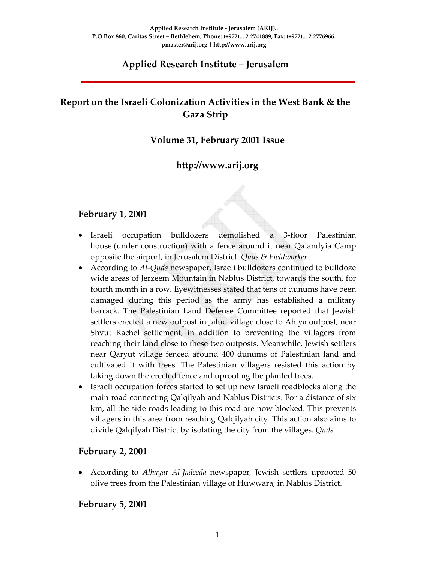# **Applied Research Institute – Jerusalem**

# **Report on the Israeli Colonization Activities in the West Bank & the Gaza Strip**

## **Volume 31, February 2001 Issue**

# **http://www.arij.org**

## **February 1, 2001**

- Israeli occupation bulldozers demolished a 3‐floor Palestinian house (under construction) with a fence around it near Qalandyia Camp opposite the airport, in Jerusalem District. *Quds & Fieldworker*
- According to *Al*-*Quds* newspaper, Israeli bulldozers continued to bulldoze wide areas of Jerzeem Mountain in Nablus District, towards the south, for fourth month in a row. Eyewitnesses stated that tens of dunums have been damaged during this period as the army has established a military barrack. The Palestinian Land Defense Committee reported that Jewish settlers erected a new outpost in Jalud village close to Ahiya outpost, near Shvut Rachel settlement, in addition to preventing the villagers from reaching their land close to these two outposts. Meanwhile, Jewish settlers near Qaryut village fenced around 400 dunums of Palestinian land and cultivated it with trees. The Palestinian villagers resisted this action by taking down the erected fence and uprooting the planted trees.
- Israeli occupation forces started to set up new Israeli roadblocks along the main road connecting Qalqilyah and Nablus Districts. For a distance of six km, all the side roads leading to this road are now blocked. This prevents villagers in this area from reaching Qalqilyah city. This action also aims to divide Qalqilyah District by isolating the city from the villages. *Quds*

## **February 2, 2001**

• According to *Alhayat Al‐Jadeeda* newspaper, Jewish settlers uprooted 50 olive trees from the Palestinian village of Huwwara, in Nablus District.

## **February 5, 2001**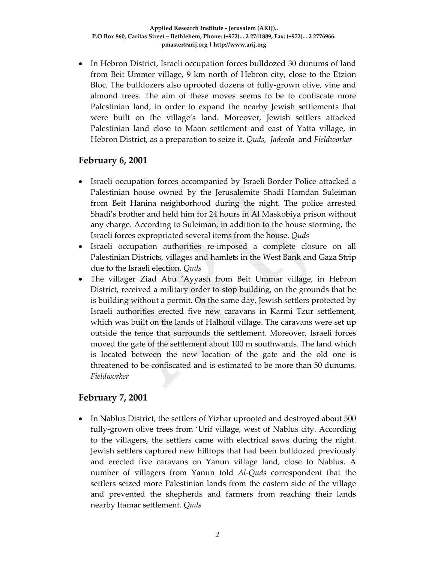• In Hebron District, Israeli occupation forces bulldozed 30 dunums of land from Beit Ummer village, 9 km north of Hebron city, close to the Etzion Bloc. The bulldozers also uprooted dozens of fully‐grown olive, vine and almond trees. The aim of these moves seems to be to confiscate more Palestinian land, in order to expand the nearby Jewish settlements that were built on the village's land. Moreover, Jewish settlers attacked Palestinian land close to Maon settlement and east of Yatta village, in Hebron District, as a preparation to seize it. *Quds, Jadeeda* and *Fieldworker*

#### **February 6, 2001**

- Israeli occupation forces accompanied by Israeli Border Police attacked a Palestinian house owned by the Jerusalemite Shadi Hamdan Suleiman from Beit Hanina neighborhood during the night. The police arrested Shadi's brother and held him for 24 hours in Al Maskobiya prison without any charge. According to Suleiman, in addition to the house storming, the Israeli forces expropriated several items from the house. *Quds*
- Israeli occupation authorities re-imposed a complete closure on all Palestinian Districts, villages and hamlets in the West Bank and Gaza Strip due to the Israeli election. *Quds*
- The villager Ziad Abu 'Ayyash from Beit Ummar village, in Hebron District, received a military order to stop building, on the grounds that he is building without a permit. On the same day, Jewish settlers protected by Israeli authorities erected five new caravans in Karmi Tzur settlement, which was built on the lands of Halhoul village. The caravans were set up outside the fence that surrounds the settlement. Moreover, Israeli forces moved the gate of the settlement about 100 m southwards. The land which is located between the new location of the gate and the old one is threatened to be confiscated and is estimated to be more than 50 dunums. *Fieldworker*

## **February 7, 2001**

• In Nablus District, the settlers of Yizhar uprooted and destroyed about 500 fully‐grown olive trees from 'Urif village, west of Nablus city. According to the villagers, the settlers came with electrical saws during the night. Jewish settlers captured new hilltops that had been bulldozed previously and erected five caravans on Yanun village land, close to Nablus. A number of villagers from Yanun told *Al‐Quds* correspondent that the settlers seized more Palestinian lands from the eastern side of the village and prevented the shepherds and farmers from reaching their lands nearby Itamar settlement. *Quds*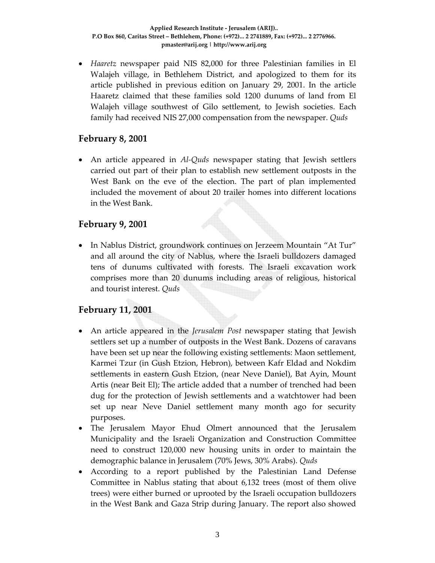• *Haaretz* newspaper paid NIS 82,000 for three Palestinian families in El Walajeh village, in Bethlehem District, and apologized to them for its article published in previous edition on January 29, 2001. In the article Haaretz claimed that these families sold 1200 dunums of land from El Walajeh village southwest of Gilo settlement, to Jewish societies. Each family had received NIS 27,000 compensation from the newspaper. *Quds*

## **February 8, 2001**

• An article appeared in *Al‐Quds* newspaper stating that Jewish settlers carried out part of their plan to establish new settlement outposts in the West Bank on the eve of the election. The part of plan implemented included the movement of about 20 trailer homes into different locations in the West Bank.

#### **February 9, 2001**

• In Nablus District, groundwork continues on Jerzeem Mountain "At Tur" and all around the city of Nablus, where the Israeli bulldozers damaged tens of dunums cultivated with forests. The Israeli excavation work comprises more than 20 dunums including areas of religious, historical and tourist interest. *Quds*

# **February 11, 2001**

- An article appeared in the *Jerusalem Post* newspaper stating that Jewish settlers set up a number of outposts in the West Bank. Dozens of caravans have been set up near the following existing settlements: Maon settlement, Karmei Tzur (in Gush Etzion, Hebron), between Kafr Eldad and Nokdim settlements in eastern Gush Etzion, (near Neve Daniel), Bat Ayin, Mount Artis (near Beit El); The article added that a number of trenched had been dug for the protection of Jewish settlements and a watchtower had been set up near Neve Daniel settlement many month ago for security purposes.
- The Jerusalem Mayor Ehud Olmert announced that the Jerusalem Municipality and the Israeli Organization and Construction Committee need to construct 120,000 new housing units in order to maintain the demographic balance in Jerusalem (70% Jews, 30% Arabs). *Quds*
- According to a report published by the Palestinian Land Defense Committee in Nablus stating that about 6,132 trees (most of them olive trees) were either burned or uprooted by the Israeli occupation bulldozers in the West Bank and Gaza Strip during January. The report also showed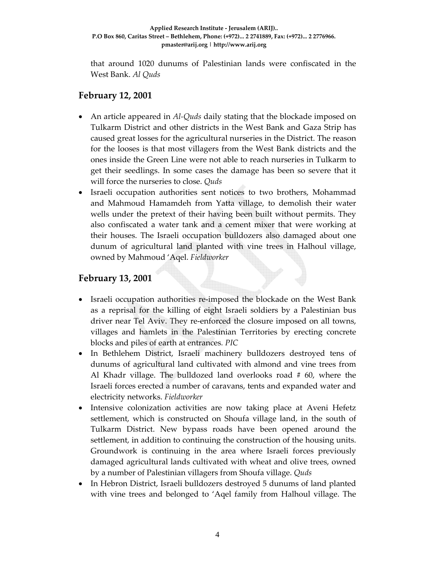that around 1020 dunums of Palestinian lands were confiscated in the West Bank. *Al Quds*

# **February 12, 2001**

- An article appeared in *Al-Quds* daily stating that the blockade imposed on Tulkarm District and other districts in the West Bank and Gaza Strip has caused great losses for the agricultural nurseries in the District. The reason for the looses is that most villagers from the West Bank districts and the ones inside the Green Line were not able to reach nurseries in Tulkarm to get their seedlings. In some cases the damage has been so severe that it will force the nurseries to close. *Quds*
- Israeli occupation authorities sent notices to two brothers, Mohammad and Mahmoud Hamamdeh from Yatta village, to demolish their water wells under the pretext of their having been built without permits. They also confiscated a water tank and a cement mixer that were working at their houses. The Israeli occupation bulldozers also damaged about one dunum of agricultural land planted with vine trees in Halhoul village, owned by Mahmoud 'Aqel. *Fieldworker*

# **February 13, 2001**

- Israeli occupation authorities re-imposed the blockade on the West Bank as a reprisal for the killing of eight Israeli soldiers by a Palestinian bus driver near Tel Aviv. They re‐enforced the closure imposed on all towns, villages and hamlets in the Palestinian Territories by erecting concrete blocks and piles of earth at entrances*. PIC*
- In Bethlehem District, Israeli machinery bulldozers destroyed tens of dunums of agricultural land cultivated with almond and vine trees from Al Khadr village. The bulldozed land overlooks road # 60, where the Israeli forces erected a number of caravans, tents and expanded water and electricity networks. *Fieldworker*
- Intensive colonization activities are now taking place at Aveni Hefetz settlement, which is constructed on Shoufa village land, in the south of Tulkarm District. New bypass roads have been opened around the settlement, in addition to continuing the construction of the housing units. Groundwork is continuing in the area where Israeli forces previously damaged agricultural lands cultivated with wheat and olive trees, owned by a number of Palestinian villagers from Shoufa village. *Quds*
- In Hebron District, Israeli bulldozers destroyed 5 dunums of land planted with vine trees and belonged to 'Aqel family from Halhoul village. The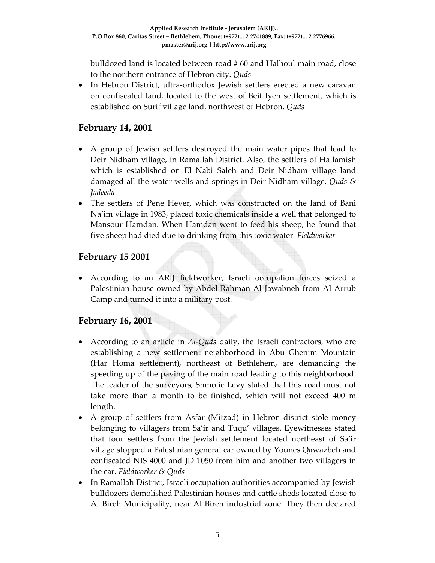bulldozed land is located between road # 60 and Halhoul main road, close to the northern entrance of Hebron city. *Quds*

• In Hebron District, ultra-orthodox Jewish settlers erected a new caravan on confiscated land, located to the west of Beit Iyen settlement, which is established on Surif village land, northwest of Hebron. *Quds*

# **February 14, 2001**

- A group of Jewish settlers destroyed the main water pipes that lead to Deir Nidham village, in Ramallah District. Also, the settlers of Hallamish which is established on El Nabi Saleh and Deir Nidham village land damaged all the water wells and springs in Deir Nidham village. *Quds & Jadeeda*
- The settlers of Pene Hever, which was constructed on the land of Bani Na'im village in 1983, placed toxic chemicals inside a well that belonged to Mansour Hamdan. When Hamdan went to feed his sheep, he found that five sheep had died due to drinking from this toxic water*. Fieldworker*

# **February 15 2001**

• According to an ARIJ fieldworker, Israeli occupation forces seized a Palestinian house owned by Abdel Rahman Al Jawabneh from Al Arrub Camp and turned it into a military post.

# **February 16, 2001**

- According to an article in *Al-Quds* daily, the Israeli contractors, who are establishing a new settlement neighborhood in Abu Ghenim Mountain (Har Homa settlement), northeast of Bethlehem, are demanding the speeding up of the paving of the main road leading to this neighborhood. The leader of the surveyors, Shmolic Levy stated that this road must not take more than a month to be finished, which will not exceed 400 m length.
- A group of settlers from Asfar (Mitzad) in Hebron district stole money belonging to villagers from Sa'ir and Tuqu' villages. Eyewitnesses stated that four settlers from the Jewish settlement located northeast of Sa'ir village stopped a Palestinian general car owned by Younes Qawazbeh and confiscated NIS 4000 and JD 1050 from him and another two villagers in the car. *Fieldworker & Quds*
- In Ramallah District, Israeli occupation authorities accompanied by Jewish bulldozers demolished Palestinian houses and cattle sheds located close to Al Bireh Municipality, near Al Bireh industrial zone. They then declared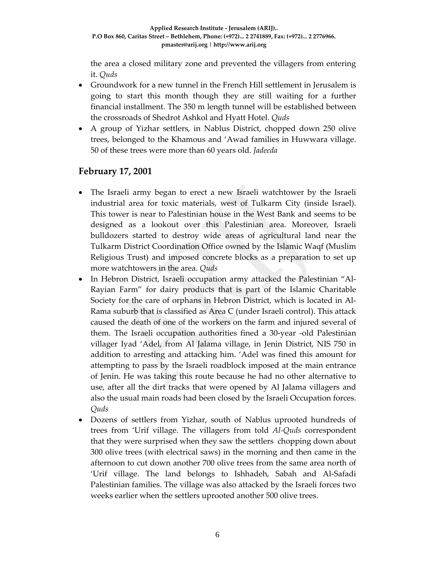the area a closed military zone and prevented the villagers from entering it. *Quds*

- Groundwork for a new tunnel in the French Hill settlement in Jerusalem is going to start this month though they are still waiting for a further financial installment. The 350 m length tunnel will be established between the crossroads of Shedrot Ashkol and Hyatt Hotel. *Quds*
- A group of Yizhar settlers, in Nablus District, chopped down 250 olive trees, belonged to the Khamous and 'Awad families in Huwwara village. 50 of these trees were more than 60 years old. *Jadeeda*

## **February 17, 2001**

- The Israeli army began to erect a new Israeli watchtower by the Israeli industrial area for toxic materials, west of Tulkarm City (inside Israel). This tower is near to Palestinian house in the West Bank and seems to be designed as a lookout over this Palestinian area. Moreover, Israeli bulldozers started to destroy wide areas of agricultural land near the Tulkarm District Coordination Office owned by the Islamic Waqf (Muslim Religious Trust) and imposed concrete blocks as a preparation to set up more watchtowers in the area. *Quds*
- In Hebron District, Israeli occupation army attacked the Palestinian "Al-Rayian Farm" for dairy products that is part of the Islamic Charitable Society for the care of orphans in Hebron District, which is located in Al‐ Rama suburb that is classified as Area C (under Israeli control). This attack caused the death of one of the workers on the farm and injured several of them. The Israeli occupation authorities fined a 30‐year ‐old Palestinian villager Iyad 'Adel, from Al Jalama village, in Jenin District, NIS 750 in addition to arresting and attacking him. 'Adel was fined this amount for attempting to pass by the Israeli roadblock imposed at the main entrance of Jenin. He was taking this route because he had no other alternative to use, after all the dirt tracks that were opened by Al Jalama villagers and also the usual main roads had been closed by the Israeli Occupation forces. *Quds*
- Dozens of settlers from Yizhar, south of Nablus uprooted hundreds of trees from 'Urif village. The villagers from told *Al‐Quds* correspondent that they were surprised when they saw the settlers chopping down about 300 olive trees (with electrical saws) in the morning and then came in the afternoon to cut down another 700 olive trees from the same area north of 'Urif village. The land belongs to Ishhadeh, Sabah and Al‐Safadi Palestinian families. The village was also attacked by the Israeli forces two weeks earlier when the settlers uprooted another 500 olive trees.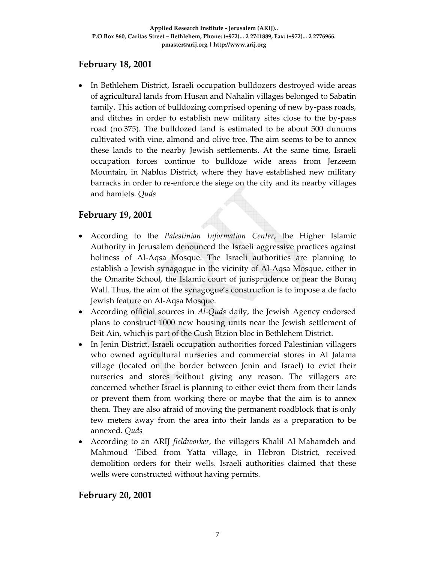## **February 18, 2001**

• In Bethlehem District, Israeli occupation bulldozers destroyed wide areas of agricultural lands from Husan and Nahalin villages belonged to Sabatin family. This action of bulldozing comprised opening of new by-pass roads, and ditches in order to establish new military sites close to the by‐pass road (no.375). The bulldozed land is estimated to be about 500 dunums cultivated with vine, almond and olive tree. The aim seems to be to annex these lands to the nearby Jewish settlements. At the same time, Israeli occupation forces continue to bulldoze wide areas from Jerzeem Mountain, in Nablus District, where they have established new military barracks in order to re‐enforce the siege on the city and its nearby villages and hamlets. *Quds*

# **February 19, 2001**

- According to the *Palestinian Information Center*, the Higher Islamic Authority in Jerusalem denounced the Israeli aggressive practices against holiness of Al-Aqsa Mosque. The Israeli authorities are planning to establish a Jewish synagogue in the vicinity of Al‐Aqsa Mosque, either in the Omarite School, the Islamic court of jurisprudence or near the Buraq Wall. Thus, the aim of the synagogue's construction is to impose a de facto Jewish feature on Al‐Aqsa Mosque.
- According official sources in *Al‐Quds* daily, the Jewish Agency endorsed plans to construct 1000 new housing units near the Jewish settlement of Beit Ain, which is part of the Gush Etzion bloc in Bethlehem District.
- In Jenin District, Israeli occupation authorities forced Palestinian villagers who owned agricultural nurseries and commercial stores in Al Jalama village (located on the border between Jenin and Israel) to evict their nurseries and stores without giving any reason. The villagers are concerned whether Israel is planning to either evict them from their lands or prevent them from working there or maybe that the aim is to annex them. They are also afraid of moving the permanent roadblock that is only few meters away from the area into their lands as a preparation to be annexed. *Quds*
- According to an ARIJ *fieldworker*, the villagers Khalil Al Mahamdeh and Mahmoud 'Eibed from Yatta village, in Hebron District, received demolition orders for their wells. Israeli authorities claimed that these wells were constructed without having permits.

# **February 20, 2001**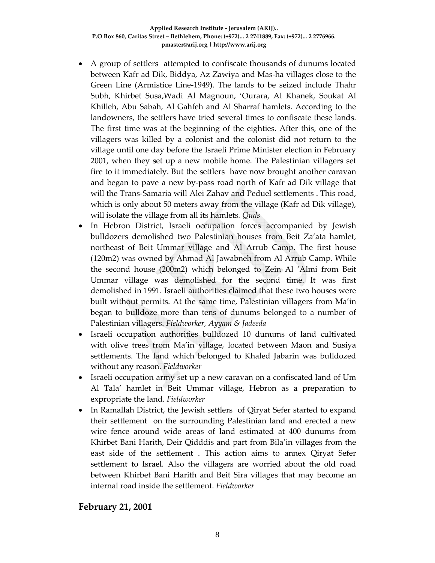- A group of settlers attempted to confiscate thousands of dunums located between Kafr ad Dik, Biddya, Az Zawiya and Mas‐ha villages close to the Green Line (Armistice Line‐1949). The lands to be seized include Thahr Subh, Khirbet Susa,Wadi Al Magnoun, 'Ourara, Al Khanek, Soukat Al Khilleh, Abu Sabah, Al Gahfeh and Al Sharraf hamlets. According to the landowners, the settlers have tried several times to confiscate these lands. The first time was at the beginning of the eighties. After this, one of the villagers was killed by a colonist and the colonist did not return to the village until one day before the Israeli Prime Minister election in February 2001, when they set up a new mobile home. The Palestinian villagers set fire to it immediately. But the settlers have now brought another caravan and began to pave a new by‐pass road north of Kafr ad Dik village that will the Trans-Samaria will Alei Zahav and Peduel settlements . This road, which is only about 50 meters away from the village (Kafr ad Dik village), will isolate the village from all its hamlets*. Quds*
- In Hebron District, Israeli occupation forces accompanied by Jewish bulldozers demolished two Palestinian houses from Beit Za'ata hamlet, northeast of Beit Ummar village and Al Arrub Camp. The first house (120m2) was owned by Ahmad Al Jawabneh from Al Arrub Camp. While the second house (200m2) which belonged to Zein Al 'Almi from Beit Ummar village was demolished for the second time. It was first demolished in 1991. Israeli authorities claimed that these two houses were built without permits. At the same time, Palestinian villagers from Ma'in began to bulldoze more than tens of dunums belonged to a number of Palestinian villagers. *Fieldworker, Ayyam & Jadeeda*
- Israeli occupation authorities bulldozed 10 dunums of land cultivated with olive trees from Ma'in village, located between Maon and Susiya settlements. The land which belonged to Khaled Jabarin was bulldozed without any reason. *Fieldworker*
- Israeli occupation army set up a new caravan on a confiscated land of Um Al Tala' hamlet in Beit Ummar village, Hebron as a preparation to expropriate the land. *Fieldworker*
- In Ramallah District, the Jewish settlers of Qiryat Sefer started to expand their settlement on the surrounding Palestinian land and erected a new wire fence around wide areas of land estimated at 400 dunums from Khirbet Bani Harith, Deir Qidddis and part from Bila'in villages from the east side of the settlement . This action aims to annex Qiryat Sefer settlement to Israel. Also the villagers are worried about the old road between Khirbet Bani Harith and Beit Sira villages that may become an internal road inside the settlement. *Fieldworker*

## **February 21, 2001**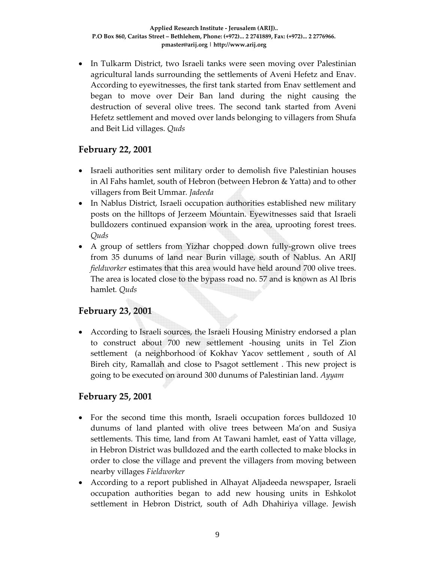• In Tulkarm District, two Israeli tanks were seen moving over Palestinian agricultural lands surrounding the settlements of Aveni Hefetz and Enav. According to eyewitnesses, the first tank started from Enav settlement and began to move over Deir Ban land during the night causing the destruction of several olive trees. The second tank started from Aveni Hefetz settlement and moved over lands belonging to villagers from Shufa and Beit Lid villages. *Quds*

## **February 22, 2001**

- Israeli authorities sent military order to demolish five Palestinian houses in Al Fahs hamlet, south of Hebron (between Hebron & Yatta) and to other villagers from Beit Ummar*. Jadeeda*
- In Nablus District, Israeli occupation authorities established new military posts on the hilltops of Jerzeem Mountain. Eyewitnesses said that Israeli bulldozers continued expansion work in the area, uprooting forest trees. *Quds*
- A group of settlers from Yizhar chopped down fully-grown olive trees from 35 dunums of land near Burin village, south of Nablus. An ARIJ *fieldworker* estimates that this area would have held around 700 olive trees. The area is located close to the bypass road no. 57 and is known as Al Ibris hamlet*. Quds*

# **February 23, 2001**

• According to Israeli sources, the Israeli Housing Ministry endorsed a plan to construct about 700 new settlement ‐housing units in Tel Zion settlement (a neighborhood of Kokhav Yacov settlement, south of Al Bireh city, Ramallah and close to Psagot settlement . This new project is going to be executed on around 300 dunums of Palestinian land. *Ayyam*

## **February 25, 2001**

- For the second time this month, Israeli occupation forces bulldozed 10 dunums of land planted with olive trees between Ma'on and Susiya settlements. This time, land from At Tawani hamlet, east of Yatta village, in Hebron District was bulldozed and the earth collected to make blocks in order to close the village and prevent the villagers from moving between nearby villages *Fieldworker*
- According to a report published in Alhayat Aljadeeda newspaper, Israeli occupation authorities began to add new housing units in Eshkolot settlement in Hebron District, south of Adh Dhahiriya village. Jewish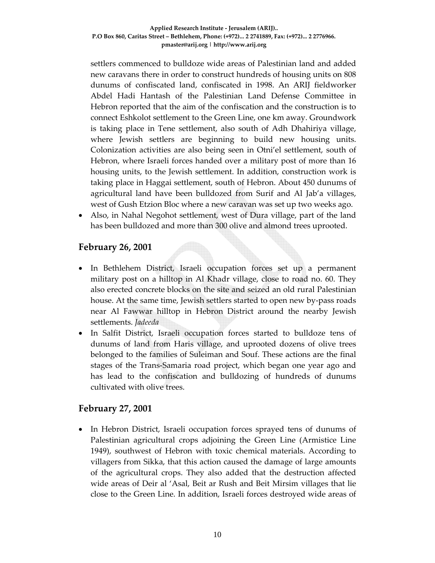settlers commenced to bulldoze wide areas of Palestinian land and added new caravans there in order to construct hundreds of housing units on 808 dunums of confiscated land, confiscated in 1998. An ARIJ fieldworker Abdel Hadi Hantash of the Palestinian Land Defense Committee in Hebron reported that the aim of the confiscation and the construction is to connect Eshkolot settlement to the Green Line, one km away. Groundwork is taking place in Tene settlement, also south of Adh Dhahiriya village, where Jewish settlers are beginning to build new housing units. Colonization activities are also being seen in Otni'el settlement, south of Hebron, where Israeli forces handed over a military post of more than 16 housing units, to the Jewish settlement. In addition, construction work is taking place in Haggai settlement, south of Hebron. About 450 dunums of agricultural land have been bulldozed from Surif and Al Jab'a villages, west of Gush Etzion Bloc where a new caravan was set up two weeks ago.

• Also, in Nahal Negohot settlement, west of Dura village, part of the land has been bulldozed and more than 300 olive and almond trees uprooted.

## **February 26, 2001**

- In Bethlehem District, Israeli occupation forces set up a permanent military post on a hilltop in Al Khadr village, close to road no. 60. They also erected concrete blocks on the site and seized an old rural Palestinian house. At the same time, Jewish settlers started to open new by‐pass roads near Al Fawwar hilltop in Hebron District around the nearby Jewish settlements. *Jadeeda*
- In Salfit District, Israeli occupation forces started to bulldoze tens of dunums of land from Haris village, and uprooted dozens of olive trees belonged to the families of Suleiman and Souf. These actions are the final stages of the Trans‐Samaria road project, which began one year ago and has lead to the confiscation and bulldozing of hundreds of dunums cultivated with olive trees.

## **February 27, 2001**

• In Hebron District, Israeli occupation forces sprayed tens of dunums of Palestinian agricultural crops adjoining the Green Line (Armistice Line 1949), southwest of Hebron with toxic chemical materials. According to villagers from Sikka, that this action caused the damage of large amounts of the agricultural crops. They also added that the destruction affected wide areas of Deir al 'Asal, Beit ar Rush and Beit Mirsim villages that lie close to the Green Line. In addition, Israeli forces destroyed wide areas of